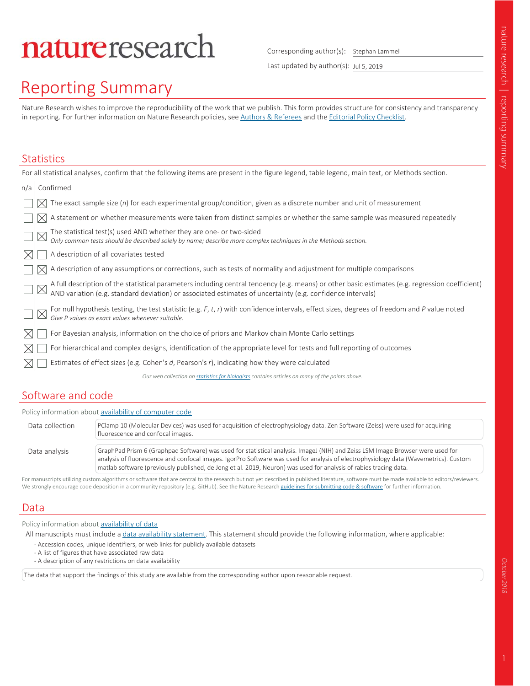# natureresearch

Corresponding author(s): Stephan Lammel

Last updated by author(s): Jul 5, 2019

## Reporting Summary

Nature Research wishes to improve the reproducibility of the work that we publish. This form provides structure for consistency and transparency in reporting. For further information on Nature Research policies, see Authors & Referees and the Editorial Policy Checklist.

### **Statistics**

|     | For all statistical analyses, confirm that the following items are present in the figure legend, table legend, main text, or Methods section.                                                                                  |
|-----|--------------------------------------------------------------------------------------------------------------------------------------------------------------------------------------------------------------------------------|
| n/a | Confirmed                                                                                                                                                                                                                      |
|     | The exact sample size $(n)$ for each experimental group/condition, given as a discrete number and unit of measurement                                                                                                          |
|     | A statement on whether measurements were taken from distinct samples or whether the same sample was measured repeatedly                                                                                                        |
|     | The statistical test(s) used AND whether they are one- or two-sided<br>Only common tests should be described solely by name; describe more complex techniques in the Methods section.                                          |
|     | A description of all covariates tested                                                                                                                                                                                         |
|     | A description of any assumptions or corrections, such as tests of normality and adjustment for multiple comparisons                                                                                                            |
|     | A full description of the statistical parameters including central tendency (e.g. means) or other basic estimates (e.g. regression coefficient) AND variation (e.g. standard deviation) or associated estimates of uncertainty |
|     | For null hypothesis testing, the test statistic (e.g. F, t, r) with confidence intervals, effect sizes, degrees of freedom and P value noted Give P values as exact values whenever suitable.                                  |
|     | For Bayesian analysis, information on the choice of priors and Markov chain Monte Carlo settings                                                                                                                               |
|     | For hierarchical and complex designs, identification of the appropriate level for tests and full reporting of outcomes                                                                                                         |
|     | Estimates of effect sizes (e.g. Cohen's $d$ , Pearson's $r$ ), indicating how they were calculated                                                                                                                             |
|     | Our web collection on statistics for biologists contains articles on many of the points above.                                                                                                                                 |

#### Software and code

|                 | Policy information about availability of computer code                                                                                                                                                                                                                                                                                                                                      |
|-----------------|---------------------------------------------------------------------------------------------------------------------------------------------------------------------------------------------------------------------------------------------------------------------------------------------------------------------------------------------------------------------------------------------|
| Data collection | PClamp 10 (Molecular Devices) was used for acquisition of electrophysiology data. Zen Software (Zeiss) were used for acquiring<br>fluorescence and confocal images.                                                                                                                                                                                                                         |
|                 |                                                                                                                                                                                                                                                                                                                                                                                             |
| Data analysis   | GraphPad Prism 6 (Graphpad Software) was used for statistical analysis. ImageJ (NIH) and Zeiss LSM Image Browser were used for<br>analysis of fluorescence and confocal images. IgorPro Software was used for analysis of electrophysiology data (Wavemetrics). Custom<br>matlab software (previously published, de Jong et al. 2019, Neuron) was used for analysis of rabies tracing data. |
|                 |                                                                                                                                                                                                                                                                                                                                                                                             |

For manuscripts utilizing custom algorithms or software that are central to the research but not yet described in published literature, software must be made available to editors/reviewers. We strongly encourage code deposition in a community repository (e.g. GitHub). See the Nature Research guidelines for submitting code & software for further information.

#### Data

Policy information about availability of data

All manuscripts must include a data availability statement. This statement should provide the following information, where applicable:

- Accession codes, unique identifiers, or web links for publicly available datasets
- A list of figures that have associated raw data
- A description of any restrictions on data availability

The data that support the findings of this study are available from the corresponding author upon reasonable request.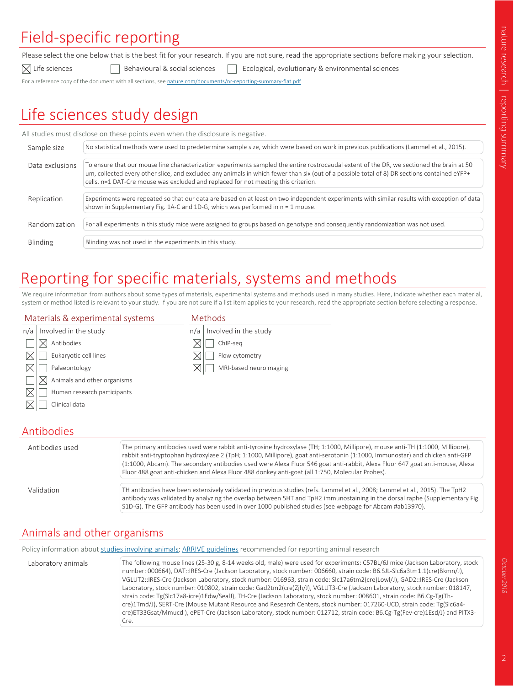### Field-specific reporting

Please select the one below that is the best fit for your research. If you are not sure, read the appropriate sections before making your selection.

 $\boxtimes$  Life sciences  $\Box$  Behavioural & social sciences  $\Box$  Ecological, evolutionary & environmental sciences For a reference copy of the document with all sections, see nature.com/documents/nr-reporting-summary-flat.pdf

### Life sciences study design

|                 | All studies must disclose on these points even when the disclosure is negative.                                                                                                                                                                                                                                                                                                 |
|-----------------|---------------------------------------------------------------------------------------------------------------------------------------------------------------------------------------------------------------------------------------------------------------------------------------------------------------------------------------------------------------------------------|
| Sample size     | No statistical methods were used to predetermine sample size, which were based on work in previous publications (Lammel et al., 2015).                                                                                                                                                                                                                                          |
| Data exclusions | To ensure that our mouse line characterization experiments sampled the entire rostrocaudal extent of the DR, we sectioned the brain at 50<br>um, collected every other slice, and excluded any animals in which fewer than six (out of a possible total of 8) DR sections contained eYFP+<br>cells. n=1 DAT-Cre mouse was excluded and replaced for not meeting this criterion. |
| Replication     | Experiments were repeated so that our data are based on at least on two independent experiments with similar results with exception of data<br>shown in Supplementary Fig. 1A-C and 1D-G, which was performed in $n = 1$ mouse.                                                                                                                                                 |
| Randomization   | For all experiments in this study mice were assigned to groups based on genotype and consequently randomization was not used.                                                                                                                                                                                                                                                   |
| Blinding        | Blinding was not used in the experiments in this study.                                                                                                                                                                                                                                                                                                                         |

### Reporting for specific materials, systems and methods

Methods

 $\boxtimes$  $\boxtimes$  $\boxtimes$ 

 $n/a$  | Involved in the study ChIP-seq Flow cytometry

We require information from authors about some types of materials, experimental systems and methods used in many studies. Here, indicate whether each material, system or method listed is relevant to your study. If you are not sure if a list item applies to your research, read the appropriate section before selecting a response.

MRI-based neuroimaging

#### Materials & experimental systems

| n/a | Involved in the study       |
|-----|-----------------------------|
|     | Antibodies                  |
|     | Eukaryotic cell lines       |
|     | Palaeontology               |
|     | Animals and other organisms |
|     | Human research participants |
|     | Clinical data               |

#### Antibodies

| Antibodies used | The primary antibodies used were rabbit anti-tyrosine hydroxylase (TH; 1:1000, Millipore), mouse anti-TH (1:1000, Millipore),<br>rabbit anti-tryptophan hydroxylase 2 (TpH; 1:1000, Millipore), goat anti-serotonin (1:1000, Immunostar) and chicken anti-GFP<br>(1:1000, Abcam). The secondary antibodies used were Alexa Fluor 546 goat anti-rabbit, Alexa Fluor 647 goat anti-mouse, Alexa<br>Fluor 488 goat anti-chicken and Alexa Fluor 488 donkey anti-goat (all 1:750, Molecular Probes). |
|-----------------|--------------------------------------------------------------------------------------------------------------------------------------------------------------------------------------------------------------------------------------------------------------------------------------------------------------------------------------------------------------------------------------------------------------------------------------------------------------------------------------------------|
| Validation      | TH antibodies have been extensively validated in previous studies (refs. Lammel et al., 2008; Lammel et al., 2015). The TpH2<br>antibody was validated by analyzing the overlap between 5HT and TpH2 immunostaining in the dorsal raphe (Supplementary Fig.<br>S1D-G). The GFP antibody has been used in over 1000 published studies (see webpage for Abcam #ab13970).                                                                                                                           |

### Animals and other organisms

Policy information about studies involving animals; ARRIVE guidelines recommended for reporting animal research

| Laboratory animals | The following mouse lines (25-30 g, 8-14 weeks old, male) were used for experiments: C57BL/6J mice (Jackson Laboratory, stock<br>number: 000664), DAT::IRES-Cre (Jackson Laboratory, stock number: 006660, strain code: B6.SJL-Slc6a3tm1.1(cre)Bkmn/J),<br>VGLUT2::IRES-Cre (Jackson Laboratory, stock number: 016963, strain code: Slc17a6tm2(cre)Lowl/J), GAD2::IRES-Cre (Jackson<br>Laboratory, stock number: 010802, strain code: Gad2tm2(cre)Zjh/J), VGLUT3-Cre (Jackson Laboratory, stock number: 018147,<br>strain code: Tg(Slc17a8-icre)1Edw/SealJ), TH-Cre (Jackson Laboratory, stock number: 008601, strain code: B6.Cg-Tg(Th-<br>cre)1Tmd/J), SERT-Cre (Mouse Mutant Resource and Research Centers, stock number: 017260-UCD, strain code: Tg(Slc6a4-<br>cre)ET33Gsat/Mmucd), ePET-Cre (Jackson Laboratory, stock number: 012712, strain code: B6.Cg-Tg(Fev-cre)1Esd/J) and PITX3-<br>Cre. |
|--------------------|-------------------------------------------------------------------------------------------------------------------------------------------------------------------------------------------------------------------------------------------------------------------------------------------------------------------------------------------------------------------------------------------------------------------------------------------------------------------------------------------------------------------------------------------------------------------------------------------------------------------------------------------------------------------------------------------------------------------------------------------------------------------------------------------------------------------------------------------------------------------------------------------------------|
|--------------------|-------------------------------------------------------------------------------------------------------------------------------------------------------------------------------------------------------------------------------------------------------------------------------------------------------------------------------------------------------------------------------------------------------------------------------------------------------------------------------------------------------------------------------------------------------------------------------------------------------------------------------------------------------------------------------------------------------------------------------------------------------------------------------------------------------------------------------------------------------------------------------------------------------|